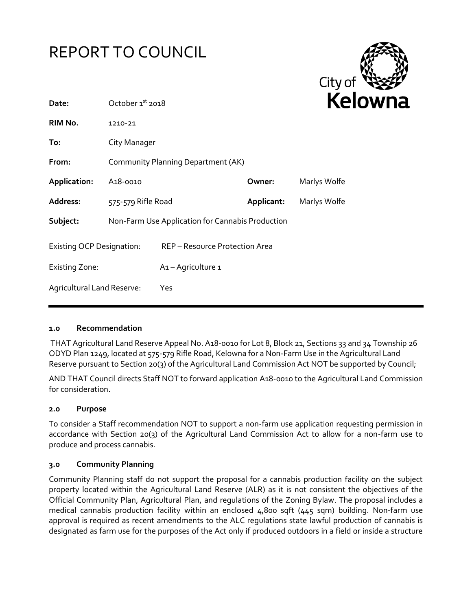



| Date:                            | October 1st 2018                                 |                                |            | rei          |  |
|----------------------------------|--------------------------------------------------|--------------------------------|------------|--------------|--|
| RIM No.                          | 1210-21                                          |                                |            |              |  |
| To:                              | City Manager                                     |                                |            |              |  |
| From:                            | Community Planning Department (AK)               |                                |            |              |  |
| Application:                     | A <sub>1</sub> 8-0010                            |                                | Owner:     | Marlys Wolfe |  |
| Address:                         | 575-579 Rifle Road                               |                                | Applicant: | Marlys Wolfe |  |
| Subject:                         | Non-Farm Use Application for Cannabis Production |                                |            |              |  |
| <b>Existing OCP Designation:</b> |                                                  | REP - Resource Protection Area |            |              |  |
| <b>Existing Zone:</b>            |                                                  | A <sub>1</sub> - Agriculture 1 |            |              |  |
| Agricultural Land Reserve:       |                                                  | Yes                            |            |              |  |
|                                  |                                                  |                                |            |              |  |

#### **1.0 Recommendation**

THAT Agricultural Land Reserve Appeal No. A18-0010 for Lot 8, Block 21, Sections 33 and 34 Township 26 ODYD Plan 1249, located at 575-579 Rifle Road, Kelowna for a Non-Farm Use in the Agricultural Land Reserve pursuant to Section 20(3) of the Agricultural Land Commission Act NOT be supported by Council;

AND THAT Council directs Staff NOT to forward application A18-0010 to the Agricultural Land Commission for consideration.

#### **2.0 Purpose**

To consider a Staff recommendation NOT to support a non-farm use application requesting permission in accordance with Section 20(3) of the Agricultural Land Commission Act to allow for a non-farm use to produce and process cannabis.

#### **3.0 Community Planning**

Community Planning staff do not support the proposal for a cannabis production facility on the subject property located within the Agricultural Land Reserve (ALR) as it is not consistent the objectives of the Official Community Plan, Agricultural Plan, and regulations of the Zoning Bylaw. The proposal includes a medical cannabis production facility within an enclosed 4,800 sqft (445 sqm) building. Non-farm use approval is required as recent amendments to the ALC regulations state lawful production of cannabis is designated as farm use for the purposes of the Act only if produced outdoors in a field or inside a structure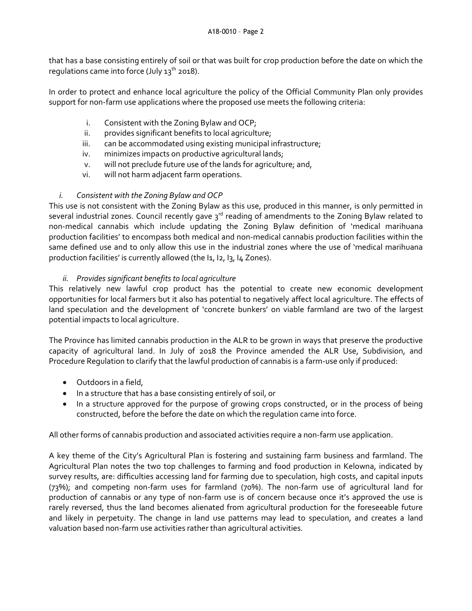that has a base consisting entirely of soil or that was built for crop production before the date on which the regulations came into force (July  $13^{th}$  2018).

In order to protect and enhance local agriculture the policy of the Official Community Plan only provides support for non-farm use applications where the proposed use meets the following criteria:

- i. Consistent with the Zoning Bylaw and OCP;
- ii. provides significant benefits to local agriculture;
- iii. can be accommodated using existing municipal infrastructure;
- iv. minimizes impacts on productive agricultural lands;
- v. will not preclude future use of the lands for agriculture; and,
- vi. will not harm adjacent farm operations.

## *i. Consistent with the Zoning Bylaw and OCP*

This use is not consistent with the Zoning Bylaw as this use, produced in this manner, is only permitted in several industrial zones. Council recently gave  $3<sup>rd</sup>$  reading of amendments to the Zoning Bylaw related to non-medical cannabis which include updating the Zoning Bylaw definition of 'medical marihuana production facilities' to encompass both medical and non-medical cannabis production facilities within the same defined use and to only allow this use in the industrial zones where the use of 'medical marihuana production facilities' is currently allowed (the I1, I2, I3, I4 Zones).

## *ii. Provides significant benefits to local agriculture*

This relatively new lawful crop product has the potential to create new economic development opportunities for local farmers but it also has potential to negatively affect local agriculture. The effects of land speculation and the development of 'concrete bunkers' on viable farmland are two of the largest potential impacts to local agriculture.

The Province has limited cannabis production in the ALR to be grown in ways that preserve the productive capacity of agricultural land. In July of 2018 the Province amended the ALR Use, Subdivision, and Procedure Regulation to clarify that the lawful production of cannabis is a farm-use only if produced:

- Outdoors in a field,
- In a structure that has a base consisting entirely of soil, or
- In a structure approved for the purpose of growing crops constructed, or in the process of being constructed, before the before the date on which the regulation came into force.

All other forms of cannabis production and associated activities require a non-farm use application.

A key theme of the City's Agricultural Plan is fostering and sustaining farm business and farmland. The Agricultural Plan notes the two top challenges to farming and food production in Kelowna, indicated by survey results, are: difficulties accessing land for farming due to speculation, high costs, and capital inputs (73%); and competing non-farm uses for farmland (70%). The non-farm use of agricultural land for production of cannabis or any type of non-farm use is of concern because once it's approved the use is rarely reversed, thus the land becomes alienated from agricultural production for the foreseeable future and likely in perpetuity. The change in land use patterns may lead to speculation, and creates a land valuation based non-farm use activities rather than agricultural activities.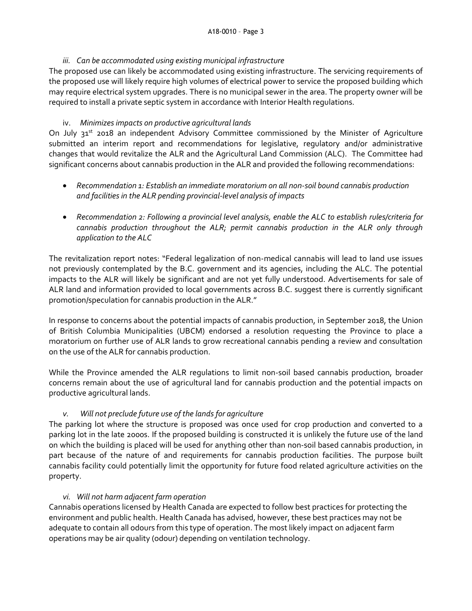## *iii. Can be accommodated using existing municipal infrastructure*

The proposed use can likely be accommodated using existing infrastructure. The servicing requirements of the proposed use will likely require high volumes of electrical power to service the proposed building which may require electrical system upgrades. There is no municipal sewer in the area. The property owner will be required to install a private septic system in accordance with Interior Health regulations.

## iv. *Minimizes impacts on productive agricultural lands*

On July 31<sup>st</sup> 2018 an independent Advisory Committee commissioned by the Minister of Agriculture submitted an interim report and recommendations for legislative, regulatory and/or administrative changes that would revitalize the ALR and the Agricultural Land Commission (ALC). The Committee had significant concerns about cannabis production in the ALR and provided the following recommendations:

- *Recommendation 1: Establish an immediate moratorium on all non-soil bound cannabis production and facilities in the ALR pending provincial-level analysis of impacts*
- *Recommendation 2: Following a provincial level analysis, enable the ALC to establish rules/criteria for cannabis production throughout the ALR; permit cannabis production in the ALR only through application to the ALC*

The revitalization report notes: "Federal legalization of non-medical cannabis will lead to land use issues not previously contemplated by the B.C. government and its agencies, including the ALC. The potential impacts to the ALR will likely be significant and are not yet fully understood. Advertisements for sale of ALR land and information provided to local governments across B.C. suggest there is currently significant promotion/speculation for cannabis production in the ALR."

In response to concerns about the potential impacts of cannabis production, in September 2018, the Union of British Columbia Municipalities (UBCM) endorsed a resolution requesting the Province to place a moratorium on further use of ALR lands to grow recreational cannabis pending a review and consultation on the use of the ALR for cannabis production.

While the Province amended the ALR regulations to limit non-soil based cannabis production, broader concerns remain about the use of agricultural land for cannabis production and the potential impacts on productive agricultural lands.

# *v. Will not preclude future use of the lands for agriculture*

The parking lot where the structure is proposed was once used for crop production and converted to a parking lot in the late 2000s. If the proposed building is constructed it is unlikely the future use of the land on which the building is placed will be used for anything other than non-soil based cannabis production, in part because of the nature of and requirements for cannabis production facilities. The purpose built cannabis facility could potentially limit the opportunity for future food related agriculture activities on the property.

# *vi. Will not harm adjacent farm operation*

Cannabis operations licensed by Health Canada are expected to follow best practices for protecting the environment and public health. Health Canada has advised, however, these best practices may not be adequate to contain all odours from this type of operation. The most likely impact on adjacent farm operations may be air quality (odour) depending on ventilation technology.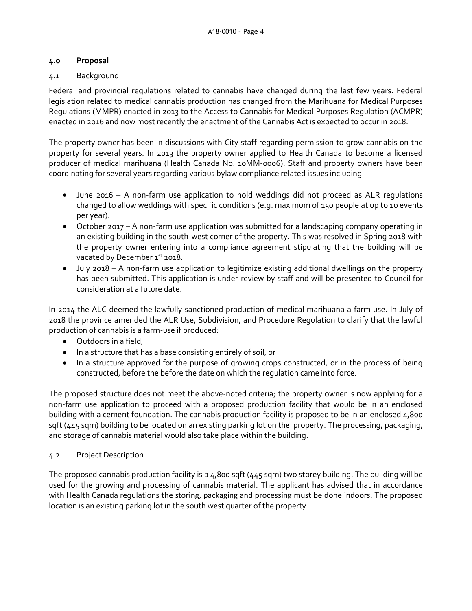## **4.0 Proposal**

## 4.1 Background

Federal and provincial regulations related to cannabis have changed during the last few years. Federal legislation related to medical cannabis production has changed from the Marihuana for Medical Purposes Regulations (MMPR) enacted in 2013 to the Access to Cannabis for Medical Purposes Regulation (ACMPR) enacted in 2016 and now most recently the enactment of the Cannabis Act is expected to occur in 2018.

The property owner has been in discussions with City staff regarding permission to grow cannabis on the property for several years. In 2013 the property owner applied to Health Canada to become a licensed producer of medical marihuana (Health Canada No. 10MM-0006). Staff and property owners have been coordinating for several years regarding various bylaw compliance related issues including:

- June 2016 A non-farm use application to hold weddings did not proceed as ALR regulations changed to allow weddings with specific conditions (e.g. maximum of 150 people at up to 10 events per year).
- October 2017 A non-farm use application was submitted for a landscaping company operating in an existing building in the south-west corner of the property. This was resolved in Spring 2018 with the property owner entering into a compliance agreement stipulating that the building will be vacated by December 1st 2018.
- July 2018 A non-farm use application to legitimize existing additional dwellings on the property has been submitted. This application is under-review by staff and will be presented to Council for consideration at a future date.

In 2014 the ALC deemed the lawfully sanctioned production of medical marihuana a farm use. In July of 2018 the province amended the ALR Use, Subdivision, and Procedure Regulation to clarify that the lawful production of cannabis is a farm-use if produced:

- Outdoors in a field,
- In a structure that has a base consisting entirely of soil, or
- In a structure approved for the purpose of growing crops constructed, or in the process of being constructed, before the before the date on which the regulation came into force.

The proposed structure does not meet the above-noted criteria; the property owner is now applying for a non-farm use application to proceed with a proposed production facility that would be in an enclosed building with a cement foundation. The cannabis production facility is proposed to be in an enclosed 4,800 sqft (445 sqm) building to be located on an existing parking lot on the property. The processing, packaging, and storage of cannabis material would also take place within the building.

# 4.2 Project Description

The proposed cannabis production facility is a 4,800 sqft (445 sqm) two storey building. The building will be used for the growing and processing of cannabis material. The applicant has advised that in accordance with Health Canada regulations the storing, packaging and processing must be done indoors. The proposed location is an existing parking lot in the south west quarter of the property.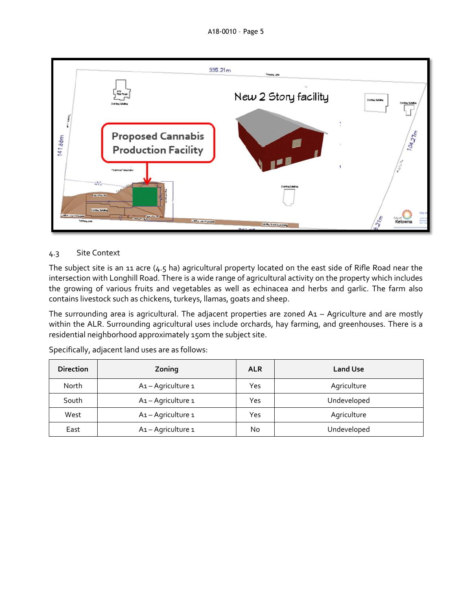

## 4.3 Site Context

The subject site is an 11 acre (4.5 ha) agricultural property located on the east side of Rifle Road near the intersection with Longhill Road. There is a wide range of agricultural activity on the property which includes the growing of various fruits and vegetables as well as echinacea and herbs and garlic. The farm also contains livestock such as chickens, turkeys, llamas, goats and sheep.

The surrounding area is agricultural. The adjacent properties are zoned A1 – Agriculture and are mostly within the ALR. Surrounding agricultural uses include orchards, hay farming, and greenhouses. There is a residential neighborhood approximately 150m the subject site.

| <b>Direction</b> | Zoning           | <b>ALR</b> | <b>Land Use</b> |
|------------------|------------------|------------|-----------------|
| North            | A1-Agriculture 1 | Yes        | Agriculture     |
| South            | A1-Agriculture 1 | Yes        | Undeveloped     |
| West             | A1-Agriculture 1 | Yes        | Agriculture     |
| East             | A1-Agriculture 1 | No         | Undeveloped     |

Specifically, adjacent land uses are as follows: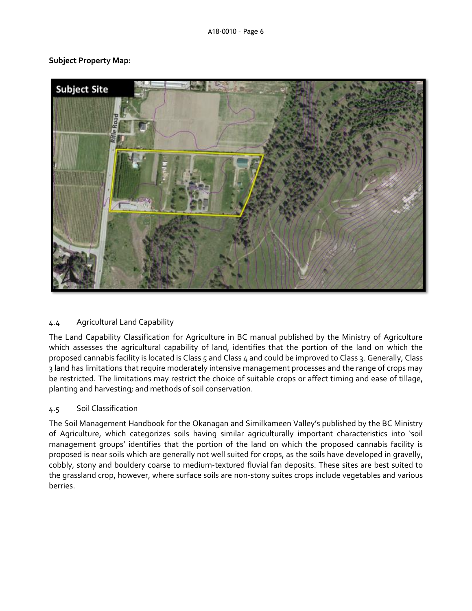## **Subject Property Map:**



## 4.4 Agricultural Land Capability

The Land Capability Classification for Agriculture in BC manual published by the Ministry of Agriculture which assesses the agricultural capability of land, identifies that the portion of the land on which the proposed cannabis facility is located is Class 5 and Class 4 and could be improved to Class 3. Generally, Class 3 land has limitations that require moderately intensive management processes and the range of crops may be restricted. The limitations may restrict the choice of suitable crops or affect timing and ease of tillage, planting and harvesting; and methods of soil conservation.

## 4.5 Soil Classification

The Soil Management Handbook for the Okanagan and Similkameen Valley's published by the BC Ministry of Agriculture, which categorizes soils having similar agriculturally important characteristics into 'soil management groups' identifies that the portion of the land on which the proposed cannabis facility is proposed is near soils which are generally not well suited for crops, as the soils have developed in gravelly, cobbly, stony and bouldery coarse to medium-textured fluvial fan deposits. These sites are best suited to the grassland crop, however, where surface soils are non-stony suites crops include vegetables and various berries.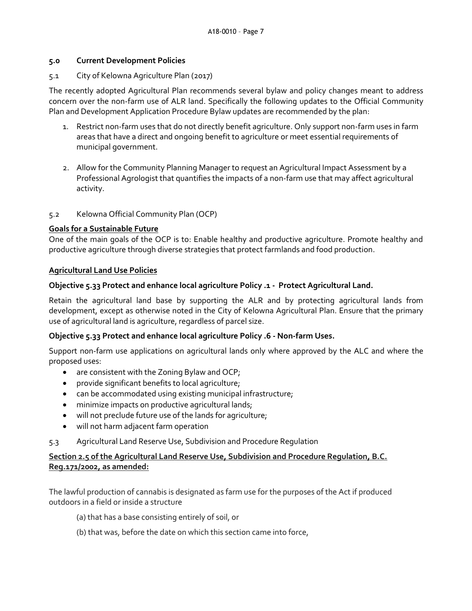#### **5.0 Current Development Policies**

#### 5.1 City of Kelowna Agriculture Plan (2017)

The recently adopted Agricultural Plan recommends several bylaw and policy changes meant to address concern over the non-farm use of ALR land. Specifically the following updates to the Official Community Plan and Development Application Procedure Bylaw updates are recommended by the plan:

- 1. Restrict non-farm uses that do not directly benefit agriculture. Only support non-farm uses in farm areas that have a direct and ongoing benefit to agriculture or meet essential requirements of municipal government.
- 2. Allow for the Community Planning Manager to request an Agricultural Impact Assessment by a Professional Agrologist that quantifies the impacts of a non-farm use that may affect agricultural activity.
- 5.2 Kelowna Official Community Plan (OCP)

#### **Goals for a Sustainable Future**

One of the main goals of the OCP is to: Enable healthy and productive agriculture. Promote healthy and productive agriculture through diverse strategies that protect farmlands and food production.

#### **Agricultural Land Use Policies**

#### **Objective 5.33 Protect and enhance local agriculture Policy .1 - Protect Agricultural Land.**

Retain the agricultural land base by supporting the ALR and by protecting agricultural lands from development, except as otherwise noted in the City of Kelowna Agricultural Plan. Ensure that the primary use of agricultural land is agriculture, regardless of parcel size.

## **Objective 5.33 Protect and enhance local agriculture Policy .6 - Non-farm Uses.**

Support non-farm use applications on agricultural lands only where approved by the ALC and where the proposed uses:

- are consistent with the Zoning Bylaw and OCP;
- provide significant benefits to local agriculture;
- can be accommodated using existing municipal infrastructure;
- minimize impacts on productive agricultural lands;
- will not preclude future use of the lands for agriculture;
- will not harm adjacent farm operation
- 5.3 Agricultural Land Reserve Use, Subdivision and Procedure Regulation

## **Section 2.5 of the Agricultural Land Reserve Use, Subdivision and Procedure Regulation, B.C. Reg.171/2002, as amended:**

The lawful production of cannabis is designated as farm use for the purposes of the Act if produced outdoors in a field or inside a structure

- (a) that has a base consisting entirely of soil, or
- (b) that was, before the date on which this section came into force,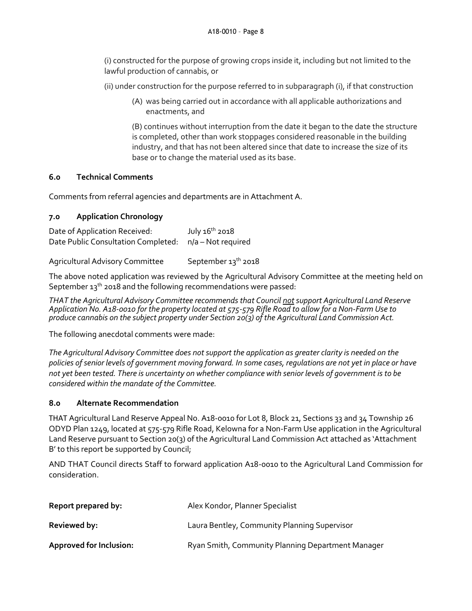(i) constructed for the purpose of growing crops inside it, including but not limited to the lawful production of cannabis, or

(ii) under construction for the purpose referred to in subparagraph (i), if that construction

(A) was being carried out in accordance with all applicable authorizations and enactments, and

(B) continues without interruption from the date it began to the date the structure is completed, other than work stoppages considered reasonable in the building industry, and that has not been altered since that date to increase the size of its base or to change the material used as its base.

## **6.0 Technical Comments**

Comments from referral agencies and departments are in Attachment A.

## **7.0 Application Chronology**

Date of Application Received: July 16<sup>th</sup> 2018 Date Public Consultation Completed: n/a – Not required

Agricultural Advisory Committee September 13<sup>th</sup> 2018

The above noted application was reviewed by the Agricultural Advisory Committee at the meeting held on September  $13^{th}$  2018 and the following recommendations were passed:

*THAT the Agricultural Advisory Committee recommends that Council notsupport Agricultural Land Reserve Application No. A18-0010 for the property located at 575-579 Rifle Road to allow for a Non-Farm Use to produce cannabis on the subject property under Section 20(3) of the Agricultural Land Commission Act.*

The following anecdotal comments were made:

*The Agricultural Advisory Committee does not support the application as greater clarity is needed on the policies of senior levels of government moving forward. In some cases, regulations are not yet in place or have not yet been tested. There is uncertainty on whether compliance with senior levels of government is to be considered within the mandate of the Committee.*

## **8.0 Alternate Recommendation**

THAT Agricultural Land Reserve Appeal No. A18-0010 for Lot 8, Block 21, Sections 33 and 34 Township 26 ODYD Plan 1249, located at 575-579 Rifle Road, Kelowna for a Non-Farm Use application in the Agricultural Land Reserve pursuant to Section 20(3) of the Agricultural Land Commission Act attached as 'Attachment B' to this report be supported by Council;

AND THAT Council directs Staff to forward application A18-0010 to the Agricultural Land Commission for consideration.

| Report prepared by:            | Alex Kondor, Planner Specialist                   |
|--------------------------------|---------------------------------------------------|
| <b>Reviewed by:</b>            | Laura Bentley, Community Planning Supervisor      |
| <b>Approved for Inclusion:</b> | Ryan Smith, Community Planning Department Manager |